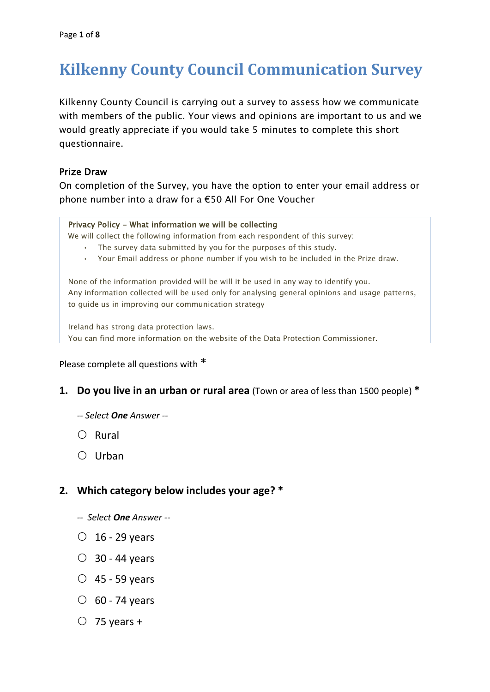# **Kilkenny County Council Communication Survey**

Kilkenny County Council is carrying out a survey to assess how we communicate with members of the public. Your views and opinions are important to us and we would greatly appreciate if you would take 5 minutes to complete this short questionnaire.

### Prize Draw

On completion of the Survey, you have the option to enter your email address or phone number into a draw for a €50 All For One Voucher

#### Privacy Policy - What information we will be collecting

We will collect the following information from each respondent of this survey:

- The survey data submitted by you for the purposes of this study.
- Your Email address or phone number if you wish to be included in the Prize draw.

None of the information provided will be will it be used in any way to identify you. Any information collected will be used only for analysing general opinions and usage patterns, to guide us in improving our communication strategy

Ireland has strong data protection laws.

You can find more information on the website of the Data Protection Commissioner.

Please complete all questions with \*

- **1. Do you live in an urban or rural area** (Town or area of less than 1500 people) **\***
	- *-- Select One Answer --*
	- $\bigcap$  Rural
	- $\bigcirc$  Urban

### **2. Which category below includes your age? \***

- *-- Select One Answer --*
- $\circ$  16 29 years
- $\circ$  30 44 years
- $\circ$  45 59 years
- $\circ$  60 74 years
- $\circ$  75 years +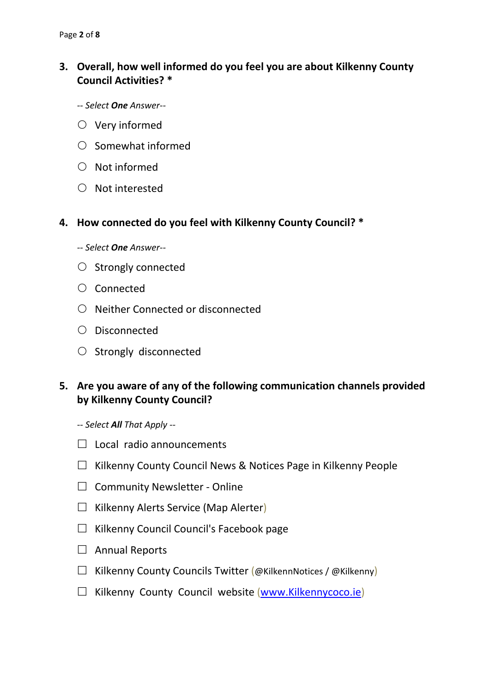## **3. Overall, how well informed do you feel you are about Kilkenny County Council Activities? \***

- *-- Select One Answer--*
- $\circlearrowright$  Very informed
- $\circ$  Somewhat informed
- $O$  Not informed
- $\bigcirc$  Not interested

#### **4. How connected do you feel with Kilkenny County Council? \***

*-- Select One Answer--*

- $\circ$  Strongly connected
- Connected
- O Neither Connected or disconnected
- Disconnected
- $\circ$  Strongly disconnected

## **5. Are you aware of any of the following communication channels provided by Kilkenny County Council?**

*-- Select All That Apply --*

- $\Box$  Local radio announcements
- $\Box$  Kilkenny County Council News & Notices Page in Kilkenny People
- $\Box$  Community Newsletter Online
- $\Box$  Kilkenny Alerts Service (Map Alerter)
- $\Box$  Kilkenny Council Council's Facebook page
- $\Box$  Annual Reports
- $\Box$  Kilkenny County Councils Twitter (@KilkennNotices / @Kilkenny)
- $\Box$  Kilkenny County Council website [\(www.Kilkennycoco.ie\)](http://www.kilkennycoco.ie/)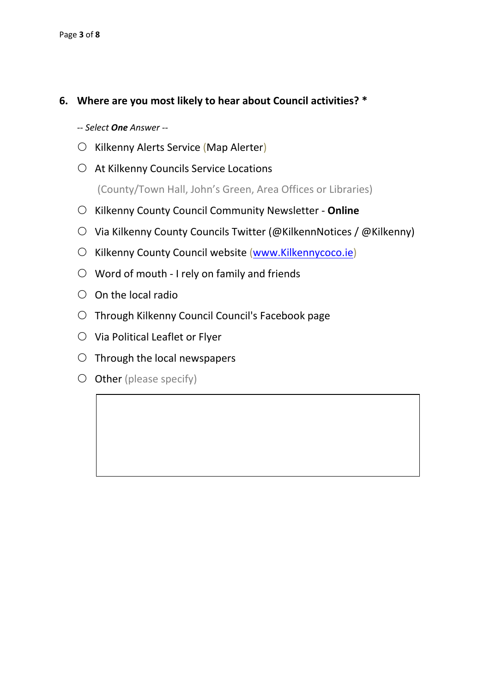## **6. Where are you most likely to hear about Council activities? \***

*-- Select One Answer --*

- $\circ$  Kilkenny Alerts Service (Map Alerter)
- At Kilkenny Councils Service Locations

(County/Town Hall, John's Green, Area Offices or Libraries)

- Kilkenny County Council Community Newsletter **Online**
- $\circ$  Via Kilkenny County Councils Twitter (@KilkennNotices / @Kilkenny)
- O Kilkenny County Council website [\(www.Kilkennycoco.ie\)](http://www.kilkennycoco.ie/)
- $\circ$  Word of mouth I rely on family and friends
- $\circ$  On the local radio
- Through Kilkenny Council Council's Facebook page
- $\circlearrowright$  Via Political Leaflet or Flyer
- $\circ$  Through the local newspapers
- $O$  Other (please specify)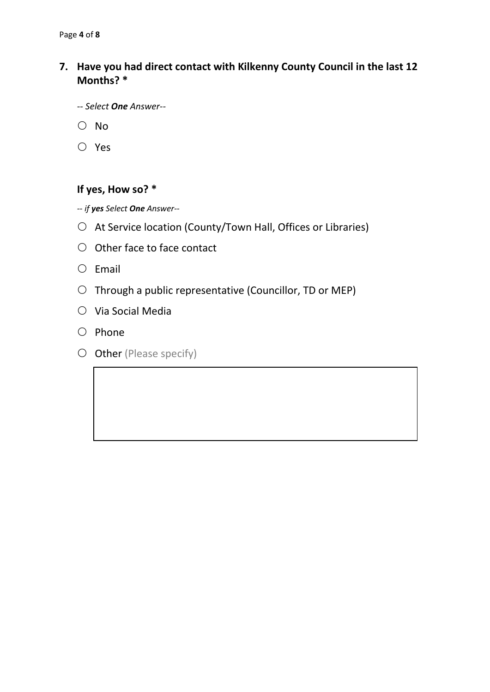## **7. Have you had direct contact with Kilkenny County Council in the last 12 Months? \***

- *-- Select One Answer--*
- $\bigcirc$  No
- Yes

## **If yes, How so? \***

*-- if yes Select One Answer--*

- $\circ$  At Service location (County/Town Hall, Offices or Libraries)
- $\bigcirc$  Other face to face contact
- $O$  Email
- $\circ$  Through a public representative (Councillor, TD or MEP)
- $O$  Via Social Media
- $O$  Phone
- $O$  Other (Please specify)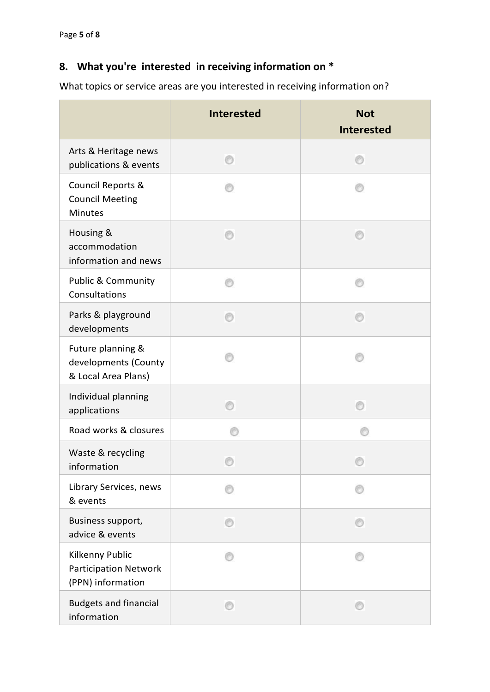# **8. What you're interested in receiving information on \***

What topics or service areas are you interested in receiving information on?

|                                                                      | <b>Interested</b> | <b>Not</b><br><b>Interested</b> |
|----------------------------------------------------------------------|-------------------|---------------------------------|
| Arts & Heritage news<br>publications & events                        |                   |                                 |
| Council Reports &<br><b>Council Meeting</b><br><b>Minutes</b>        |                   |                                 |
| Housing &<br>accommodation<br>information and news                   |                   |                                 |
| <b>Public &amp; Community</b><br>Consultations                       |                   |                                 |
| Parks & playground<br>developments                                   |                   |                                 |
| Future planning &<br>developments (County<br>& Local Area Plans)     |                   |                                 |
| Individual planning<br>applications                                  |                   |                                 |
| Road works & closures                                                |                   |                                 |
| Waste & recycling<br>information                                     |                   |                                 |
| Library Services, news<br>& events                                   |                   |                                 |
| Business support,<br>advice & events                                 |                   |                                 |
| Kilkenny Public<br><b>Participation Network</b><br>(PPN) information |                   |                                 |
| <b>Budgets and financial</b><br>information                          |                   |                                 |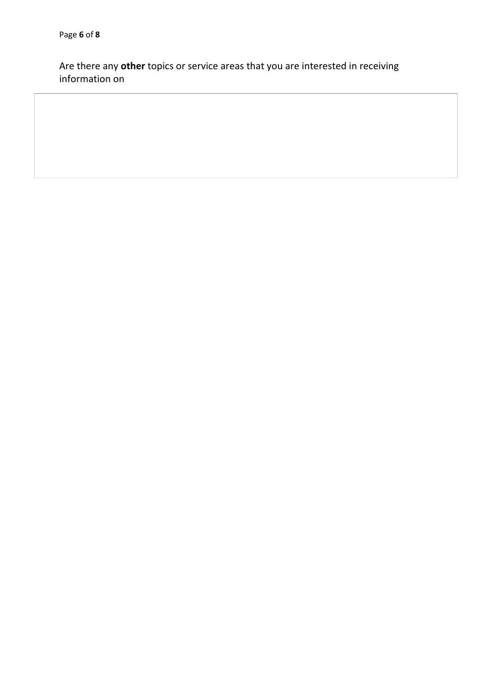Are there any **other** topics or service areas that you are interested in receiving information on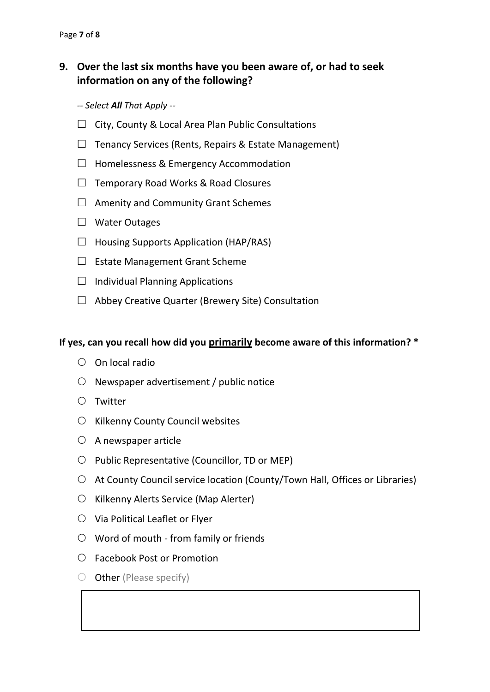## **9. Over the last six months have you been aware of, or had to seek information on any of the following?**

- *-- Select All That Apply --*
- $\Box$  City, County & Local Area Plan Public Consultations
- $\Box$  Tenancy Services (Rents, Repairs & Estate Management)
- $\Box$  Homelessness & Emergency Accommodation
- $\Box$  Temporary Road Works & Road Closures
- $\Box$  Amenity and Community Grant Schemes
- □ Water Outages
- $\Box$  Housing Supports Application (HAP/RAS)
- $\Box$  Estate Management Grant Scheme
- $\Box$  Individual Planning Applications
- $\Box$  Abbey Creative Quarter (Brewery Site) Consultation

#### **If yes, can you recall how did you primarily become aware of this information? \***

- $\circ$  On local radio
- $\circ$  Newspaper advertisement / public notice
- $\bigcirc$  Twitter
- $\circ$  Kilkenny County Council websites
- $\circ$  A newspaper article
- $\bigcirc$  Public Representative (Councillor, TD or MEP)
- At County Council service location (County/Town Hall, Offices or Libraries)
- $\circ$  Kilkenny Alerts Service (Map Alerter)
- $\circlearrowright$  Via Political Leaflet or Flyer
- Word of mouth from family or friends
- Facebook Post or Promotion
- $\bigcirc$  Other (Please specify)